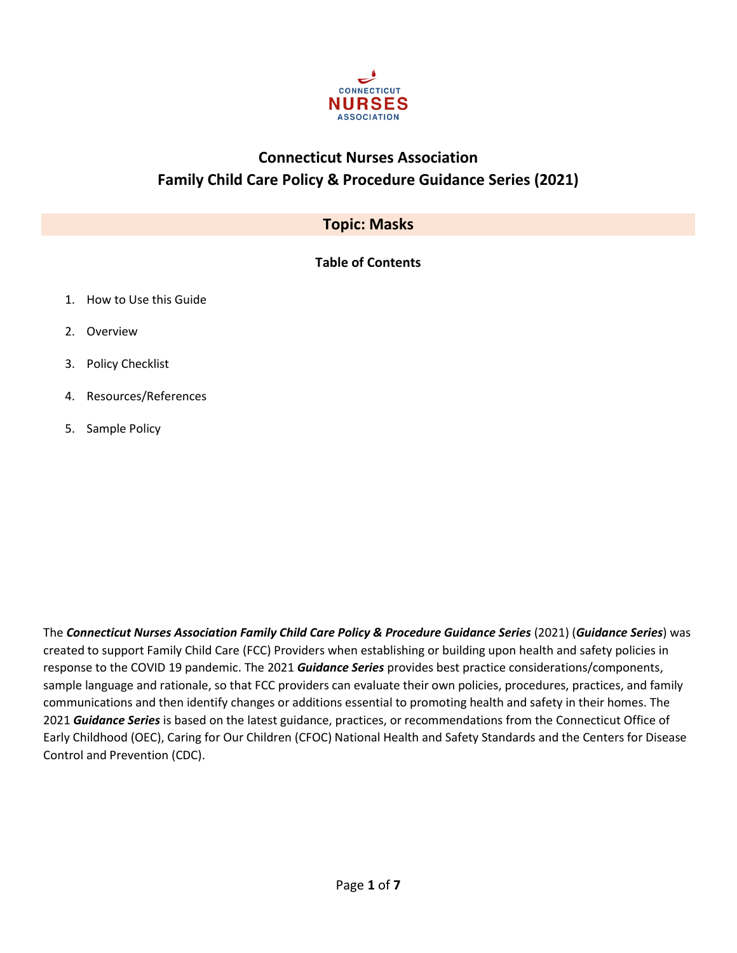

# **Connecticut Nurses Association Family Child Care Policy & Procedure Guidance Series (2021)**

# **Topic: Masks**

# **Table of Contents**

- 1. How to Use this Guide
- 2. Overview
- 3. Policy Checklist
- 4. Resources/References
- 5. Sample Policy

The *Connecticut Nurses Association Family Child Care Policy & Procedure Guidance Series* (2021) (*Guidance Series*) was created to support Family Child Care (FCC) Providers when establishing or building upon health and safety policies in response to the COVID 19 pandemic. The 2021 *Guidance Series* provides best practice considerations/components, sample language and rationale, so that FCC providers can evaluate their own policies, procedures, practices, and family communications and then identify changes or additions essential to promoting health and safety in their homes. The 2021 *Guidance Series* is based on the latest guidance, practices, or recommendations from the Connecticut Office of Early Childhood (OEC), Caring for Our Children (CFOC) National Health and Safety Standards and the Centers for Disease Control and Prevention (CDC).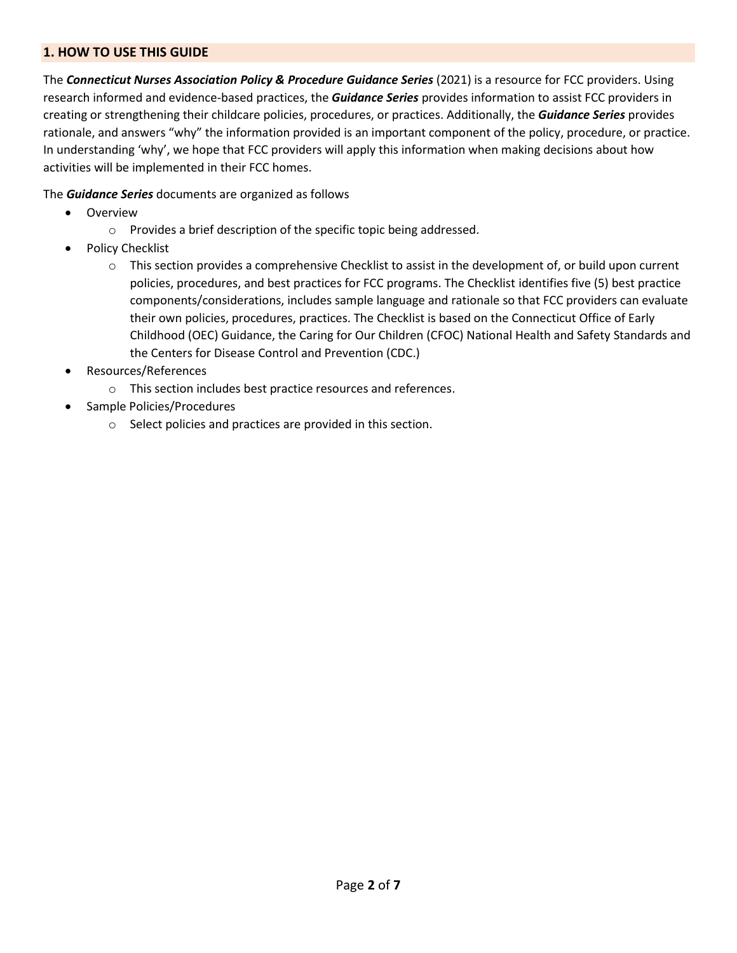# **1. HOW TO USE THIS GUIDE**

The *Connecticut Nurses Association Policy & Procedure Guidance Series* (2021) is a resource for FCC providers. Using research informed and evidence-based practices, the *Guidance Series* provides information to assist FCC providers in creating or strengthening their childcare policies, procedures, or practices. Additionally, the *Guidance Series* provides rationale, and answers "why" the information provided is an important component of the policy, procedure, or practice. In understanding 'why', we hope that FCC providers will apply this information when making decisions about how activities will be implemented in their FCC homes.

The *Guidance Series* documents are organized as follows

- Overview
	- o Provides a brief description of the specific topic being addressed.
- Policy Checklist
	- $\circ$  This section provides a comprehensive Checklist to assist in the development of, or build upon current policies, procedures, and best practices for FCC programs. The Checklist identifies five (5) best practice components/considerations, includes sample language and rationale so that FCC providers can evaluate their own policies, procedures, practices. The Checklist is based on the Connecticut Office of Early Childhood (OEC) Guidance, the Caring for Our Children (CFOC) National Health and Safety Standards and the Centers for Disease Control and Prevention (CDC.)
- Resources/References
	- o This section includes best practice resources and references.
- Sample Policies/Procedures
	- o Select policies and practices are provided in this section.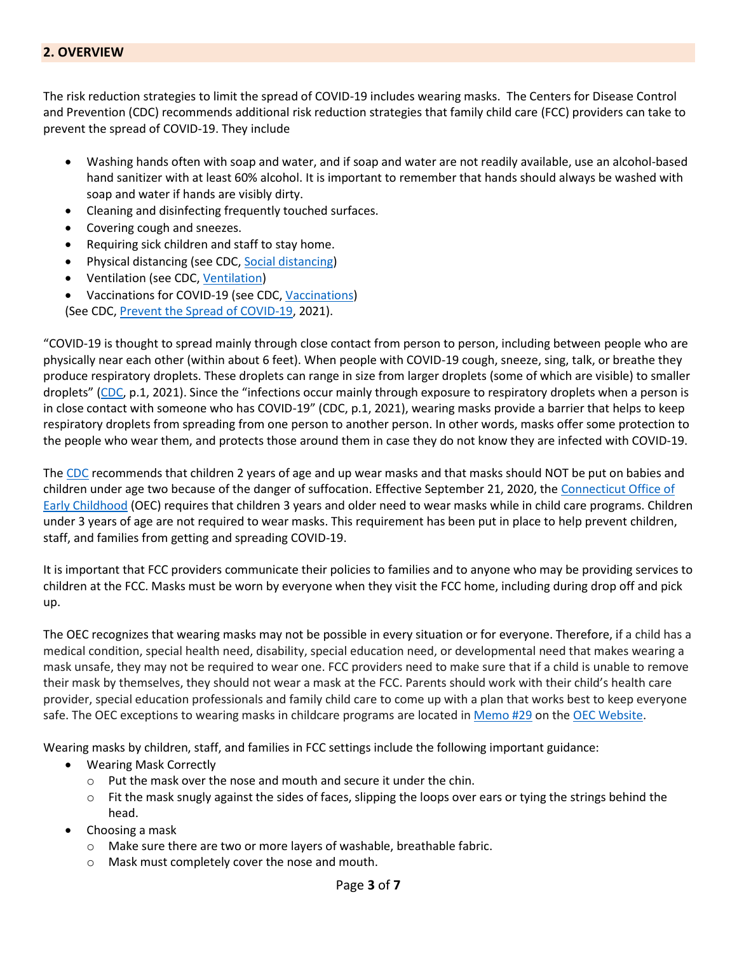#### **2. OVERVIEW**

The risk reduction strategies to limit the spread of COVID-19 includes wearing masks. The Centers for Disease Control and Prevention (CDC) recommends additional risk reduction strategies that family child care (FCC) providers can take to prevent the spread of COVID-19. They include

- Washing hands often with soap and water, and if soap and water are not readily available, use an alcohol-based hand sanitizer with at least 60% alcohol. It is important to remember that hands should always be washed with soap and water if hands are visibly dirty.
- Cleaning and disinfecting frequently touched surfaces.
- Covering cough and sneezes.
- Requiring sick children and staff to stay home.
- Physical distancing (see CDC, [Social distancing\)](https://www.cdc.gov/coronavirus/2019-ncov/prevent-getting-sick/social-distancing.html)
- Ventilation (see CDC[, Ventilation\)](https://www.cdc.gov/coronavirus/2019-ncov/community/schools-childcare/ventilation.html)
- Vaccinations for COVID-19 (see CDC, [Vaccinations\)](https://www.cdc.gov/coronavirus/2019-ncov/vaccines/index.html) (See CDC, [Prevent the Spread](https://www.cdc.gov/coronavirus/2019-ncov/community/schools-childcare/guidance-for-childcare.html) of COVID-19, 2021).

"COVID-19 is thought to spread mainly through close contact from person to person, including between people who are physically near each other (within about 6 feet). When people with COVID-19 cough, sneeze, sing, talk, or breathe they produce respiratory droplets. These droplets can range in size from larger droplets (some of which are visible) to smaller droplets" ([CDC,](https://www.cdc.gov/coronavirus/2019-ncov/prevent-getting-sick/how-covid-spreads.html) p.1, 2021). Since the "infections occur mainly through exposure to respiratory droplets when a person is in close contact with someone who has COVID-19" (CDC, p.1, 2021), wearing masks provide a barrier that helps to keep respiratory droplets from spreading from one person to another person. In other words, masks offer some protection to the people who wear them, and protects those around them in case they do not know they are infected with COVID-19.

The [CDC](https://www.cdc.gov/coronavirus/2019-ncov/prevent-getting-sick/diy-cloth-face-coverings.html) recommends that children 2 years of age and up wear masks and that masks should NOT be put on babies and children under age two because of the danger of suffocation. Effective September 21, 2020, the [Connecticut Office of](https://www.ctoec.org/covid-19/child-care-during-covid-19/)  [Early Childhood](https://www.ctoec.org/covid-19/child-care-during-covid-19/) (OEC) requires that children 3 years and older need to wear masks while in child care programs. Children under 3 years of age are not required to wear masks. This requirement has been put in place to help prevent children, staff, and families from getting and spreading COVID-19.

It is important that FCC providers communicate their policies to families and to anyone who may be providing services to children at the FCC. Masks must be worn by everyone when they visit the FCC home, including during drop off and pick up.

The OEC recognizes that wearing masks may not be possible in every situation or for everyone. Therefore, if a child has a medical condition, special health need, disability, special education need, or developmental need that makes wearing a mask unsafe, they may not be required to wear one. FCC providers need to make sure that if a child is unable to remove their mask by themselves, they should not wear a mask at the FCC. Parents should work with their child's health care provider, special education professionals and family child care to come up with a plan that works best to keep everyone safe. The OEC exceptions to wearing masks in childcare programs are located i[n Memo #29](https://www.ctoec.org/wp-content/uploads/2020/09/COVID-19-Memo-29-Masks-and-Group-Size-English-2020.10.08.pdf) on the [OEC Website.](https://www.ctoec.org/wp-content/uploads/2020/09/COVID-19-Memo-29-Masks-and-Group-Size-English-2020.10.08.pdf)

Wearing masks by children, staff, and families in FCC settings include the following important guidance:

- Wearing Mask Correctly
	- o Put the mask over the nose and mouth and secure it under the chin.
	- $\circ$  Fit the mask snugly against the sides of faces, slipping the loops over ears or tying the strings behind the head.
- Choosing a mask
	- o Make sure there are two or more layers of washable, breathable fabric.
	- o Mask must completely cover the nose and mouth.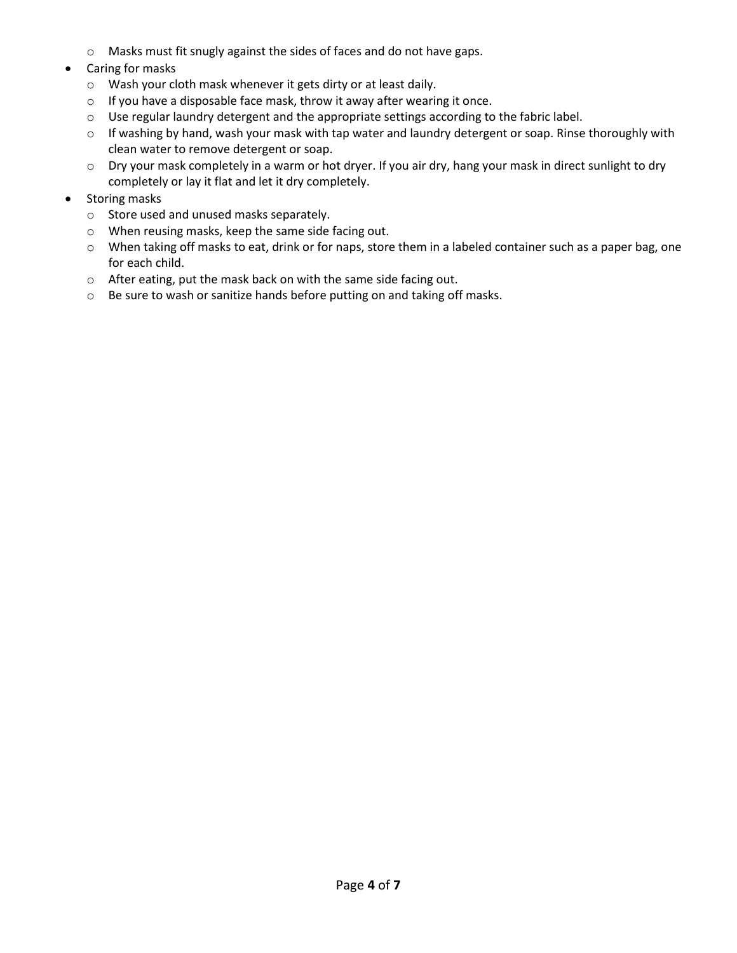- o Masks must fit snugly against the sides of faces and do not have gaps.
- Caring for masks
	- o Wash your cloth mask whenever it gets dirty or at least daily.
	- o If you have a disposable face mask, throw it away after wearing it once.
	- o Use regular laundry detergent and the appropriate settings according to the fabric label.
	- o If washing by hand, wash your mask with tap water and laundry detergent or soap. Rinse thoroughly with clean water to remove detergent or soap.
	- o Dry your mask completely in a warm or hot dryer. If you air dry, hang your mask in direct sunlight to dry completely or lay it flat and let it dry completely.
- Storing masks
	- o Store used and unused masks separately.
	- o When reusing masks, keep the same side facing out.
	- o When taking off masks to eat, drink or for naps, store them in a labeled container such as a paper bag, one for each child.
	- o After eating, put the mask back on with the same side facing out.
	- o Be sure to wash or sanitize hands before putting on and taking off masks.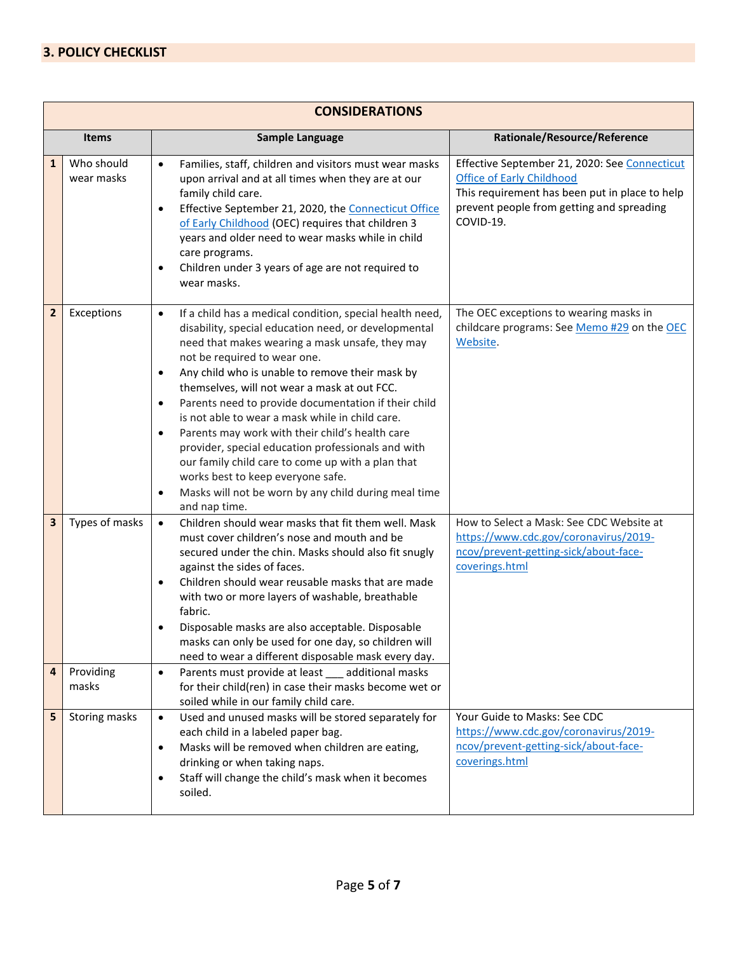| <b>CONSIDERATIONS</b> |                             |                                                                                                                                                                                                                                                                                                                                                                                                                                                                                                                                                                                                                                                                                                                                                        |                                                                                                                                                                                               |
|-----------------------|-----------------------------|--------------------------------------------------------------------------------------------------------------------------------------------------------------------------------------------------------------------------------------------------------------------------------------------------------------------------------------------------------------------------------------------------------------------------------------------------------------------------------------------------------------------------------------------------------------------------------------------------------------------------------------------------------------------------------------------------------------------------------------------------------|-----------------------------------------------------------------------------------------------------------------------------------------------------------------------------------------------|
| <b>Items</b>          |                             | <b>Sample Language</b>                                                                                                                                                                                                                                                                                                                                                                                                                                                                                                                                                                                                                                                                                                                                 | Rationale/Resource/Reference                                                                                                                                                                  |
| $\mathbf{1}$          | Who should<br>wear masks    | Families, staff, children and visitors must wear masks<br>$\bullet$<br>upon arrival and at all times when they are at our<br>family child care.<br>Effective September 21, 2020, the Connecticut Office<br>$\bullet$<br>of Early Childhood (OEC) requires that children 3<br>years and older need to wear masks while in child<br>care programs.<br>Children under 3 years of age are not required to<br>$\bullet$<br>wear masks.                                                                                                                                                                                                                                                                                                                      | Effective September 21, 2020: See Connecticut<br><b>Office of Early Childhood</b><br>This requirement has been put in place to help<br>prevent people from getting and spreading<br>COVID-19. |
| $\mathbf{2}$          | Exceptions                  | If a child has a medical condition, special health need,<br>$\bullet$<br>disability, special education need, or developmental<br>need that makes wearing a mask unsafe, they may<br>not be required to wear one.<br>Any child who is unable to remove their mask by<br>٠<br>themselves, will not wear a mask at out FCC.<br>Parents need to provide documentation if their child<br>$\bullet$<br>is not able to wear a mask while in child care.<br>Parents may work with their child's health care<br>$\bullet$<br>provider, special education professionals and with<br>our family child care to come up with a plan that<br>works best to keep everyone safe.<br>Masks will not be worn by any child during meal time<br>$\bullet$<br>and nap time. | The OEC exceptions to wearing masks in<br>childcare programs: See Memo #29 on the OEC<br>Website.                                                                                             |
| 3<br>4                | Types of masks<br>Providing | Children should wear masks that fit them well. Mask<br>$\bullet$<br>must cover children's nose and mouth and be<br>secured under the chin. Masks should also fit snugly<br>against the sides of faces.<br>Children should wear reusable masks that are made<br>٠<br>with two or more layers of washable, breathable<br>fabric.<br>Disposable masks are also acceptable. Disposable<br>$\bullet$<br>masks can only be used for one day, so children will<br>need to wear a different disposable mask every day.<br>Parents must provide at least additional masks<br>$\bullet$                                                                                                                                                                          | How to Select a Mask: See CDC Website at<br>https://www.cdc.gov/coronavirus/2019-<br>ncov/prevent-getting-sick/about-face-<br>coverings.html                                                  |
|                       | masks                       | for their child(ren) in case their masks become wet or<br>soiled while in our family child care.                                                                                                                                                                                                                                                                                                                                                                                                                                                                                                                                                                                                                                                       |                                                                                                                                                                                               |
| 5                     | Storing masks               | Used and unused masks will be stored separately for<br>$\bullet$<br>each child in a labeled paper bag.<br>Masks will be removed when children are eating,<br>$\bullet$<br>drinking or when taking naps.<br>Staff will change the child's mask when it becomes<br>٠<br>soiled.                                                                                                                                                                                                                                                                                                                                                                                                                                                                          | Your Guide to Masks: See CDC<br>https://www.cdc.gov/coronavirus/2019-<br>ncov/prevent-getting-sick/about-face-<br>coverings.html                                                              |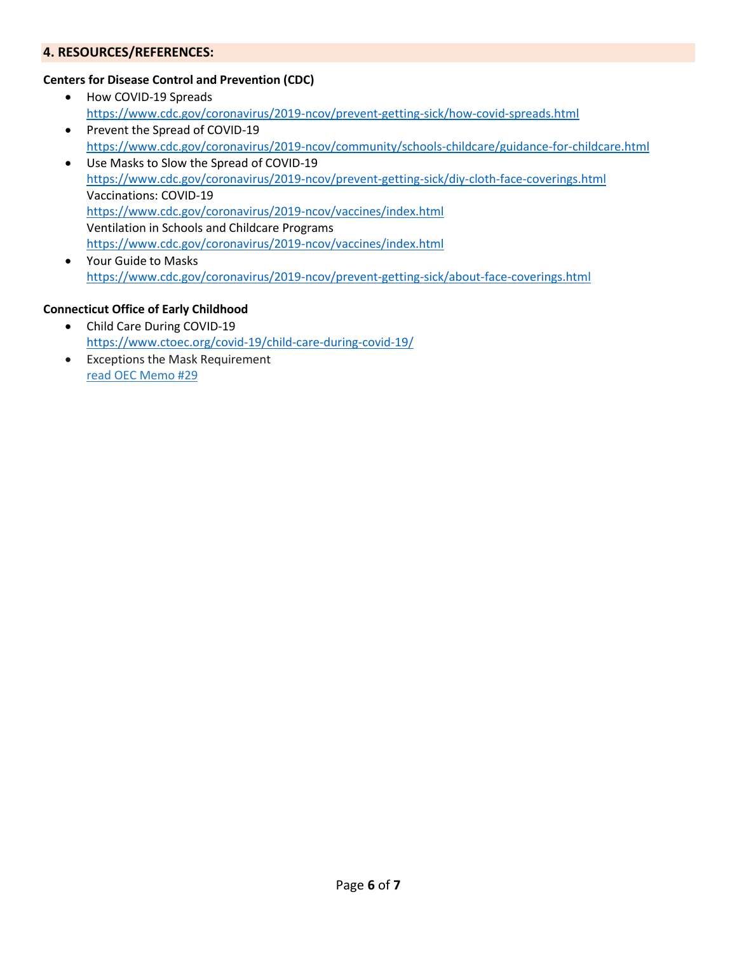## **4. RESOURCES/REFERENCES:**

## **Centers for Disease Control and Prevention (CDC)**

- How COVID-19 Spreads <https://www.cdc.gov/coronavirus/2019-ncov/prevent-getting-sick/how-covid-spreads.html> • Prevent the Spread of COVID-19
- <https://www.cdc.gov/coronavirus/2019-ncov/community/schools-childcare/guidance-for-childcare.html>
- Use Masks to Slow the Spread of COVID-19 <https://www.cdc.gov/coronavirus/2019-ncov/prevent-getting-sick/diy-cloth-face-coverings.html> Vaccinations: COVID-19 <https://www.cdc.gov/coronavirus/2019-ncov/vaccines/index.html> Ventilation in Schools and Childcare Programs <https://www.cdc.gov/coronavirus/2019-ncov/vaccines/index.html>
- Your Guide to Masks <https://www.cdc.gov/coronavirus/2019-ncov/prevent-getting-sick/about-face-coverings.html>

#### **Connecticut Office of Early Childhood**

- Child Care During COVID-19 <https://www.ctoec.org/covid-19/child-care-during-covid-19/>
- Exceptions the Mask Requirement [read OEC Memo #29](https://www.ctoec.org/forms-documents/covid-19-memo-29.pdf)